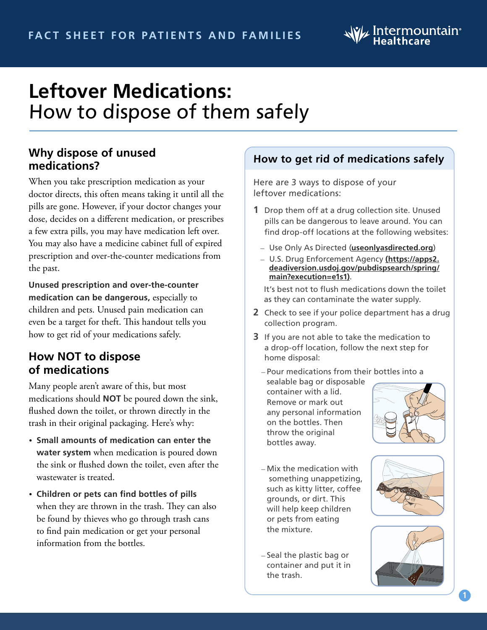

# **Leftover Medications:** How to dispose of them safely

#### **Why dispose of unused medications?**

When you take prescription medication as your doctor directs, this often means taking it until all the pills are gone. However, if your doctor changes your dose, decides on a different medication, or prescribes a few extra pills, you may have medication left over. You may also have a medicine cabinet full of expired prescription and over-the-counter medications from the past.

**Unused prescription and over-the-counter medication can be dangerous,** especially to children and pets. Unused pain medication can even be a target for theft. This handout tells you how to get rid of your medications safely.

# **How NOT to dispose of medications**

Many people aren't aware of this, but most medications should **NOT** be poured down the sink, flushed down the toilet, or thrown directly in the trash in their original packaging. Here's why:

- **Small amounts of medication can enter the water system** when medication is poured down the sink or flushed down the toilet, even after the wastewater is treated.
- **Children or pets can find bottles of pills**  when they are thrown in the trash. They can also be found by thieves who go through trash cans to find pain medication or get your personal information from the bottles.

## **How to get rid of medications safely**

Here are 3 ways to dispose of your leftover medications:

- **1** Drop them off at a drug collection site. Unused pills can be dangerous to leave around. You can find drop-off locations at the following websites:
	- Use Only As Directed (**[useonlyasdirected.org](http://useonlyasdirected.org)**)
	- U.S. Drug Enforcement Agency **[\(https://apps2.]((https://apps2.deadiversion.usdoj.gov/pubdispsearch/spring/main?execution=e1s1)) [deadiversion.usdoj.gov/pubdispsearch/spring/]((https://apps2.deadiversion.usdoj.gov/pubdispsearch/spring/main?execution=e1s1)) [main?execution=e1s1\)]((https://apps2.deadiversion.usdoj.gov/pubdispsearch/spring/main?execution=e1s1))**.

It's best not to flush medications down the toilet as they can contaminate the water supply.

- **2** Check to see if your police department has a drug collection program.
- **3** If you are not able to take the medication to a drop-off location, follow the next step for home disposal:
	- Pour medications from their bottles into a sealable bag or disposable container with a lid. Remove or mark out any personal information on the bottles. Then throw the original bottles away.



- Mix the medication with something unappetizing, such as kitty litter, coffee grounds, or dirt. This will help keep children or pets from eating the mixture.
- Seal the plastic bag or container and put it in the trash.